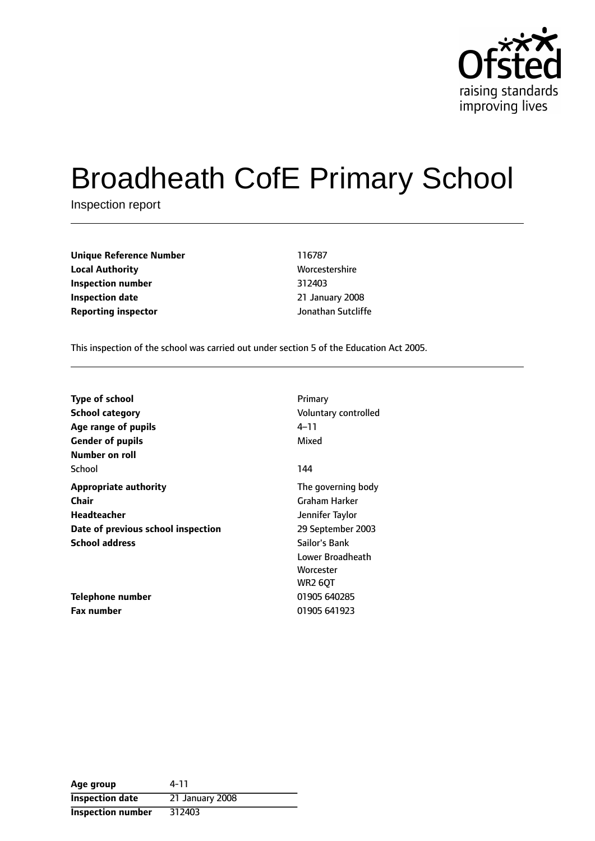

# Broadheath CofE Primary School

Inspection report

| <b>Unique Reference Number</b> | 116787             |
|--------------------------------|--------------------|
| <b>Local Authority</b>         | Worcestershire     |
| Inspection number              | 312403             |
| <b>Inspection date</b>         | 21 January 2008    |
| <b>Reporting inspector</b>     | Jonathan Sutcliffe |

**Unique Reference Number** 116787 **Worcestershire Inspection number** 312403 **Inspection date** 21 January 2008

This inspection of the school was carried out under section 5 of the Education Act 2005.

| <b>Type of school</b><br><b>School category</b> | Primary<br>Voluntary controlled |
|-------------------------------------------------|---------------------------------|
| Age range of pupils                             | $4 - 11$                        |
| <b>Gender of pupils</b>                         | Mixed                           |
| Number on roll                                  |                                 |
| School                                          | 144                             |
| <b>Appropriate authority</b>                    | The governing body              |
| <b>Chair</b>                                    | Graham Harker                   |
| Headteacher                                     | Jennifer Taylor                 |
| Date of previous school inspection              | 29 September 2003               |
| <b>School address</b>                           | Sailor's Bank                   |
|                                                 | Lower Broadheath                |
|                                                 | Worcester                       |
|                                                 | <b>WR2 60T</b>                  |
| Telephone number                                | 01905 640285                    |
| Fax number                                      | 01905 641923                    |

| Age group                | 4-11            |
|--------------------------|-----------------|
| <b>Inspection date</b>   | 21 January 2008 |
| <b>Inspection number</b> | 312403          |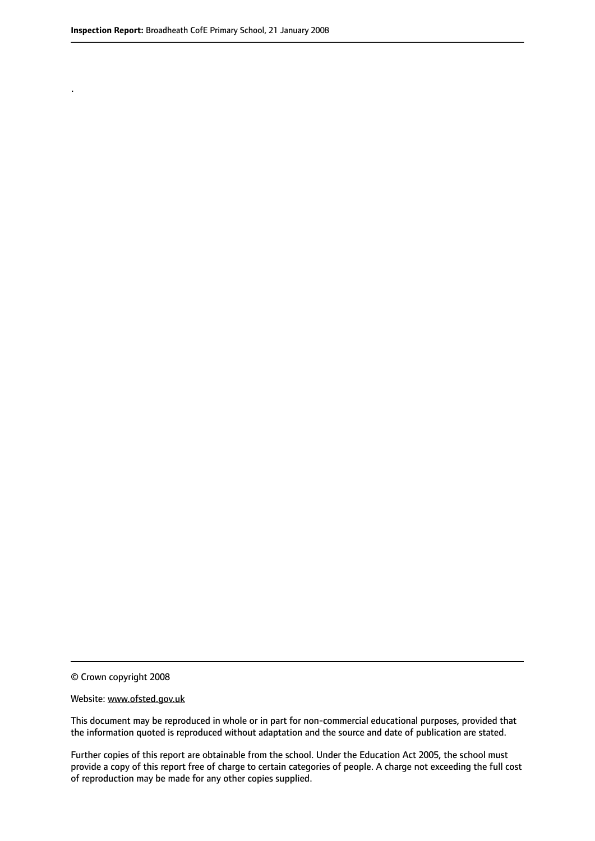.

© Crown copyright 2008

#### Website: www.ofsted.gov.uk

This document may be reproduced in whole or in part for non-commercial educational purposes, provided that the information quoted is reproduced without adaptation and the source and date of publication are stated.

Further copies of this report are obtainable from the school. Under the Education Act 2005, the school must provide a copy of this report free of charge to certain categories of people. A charge not exceeding the full cost of reproduction may be made for any other copies supplied.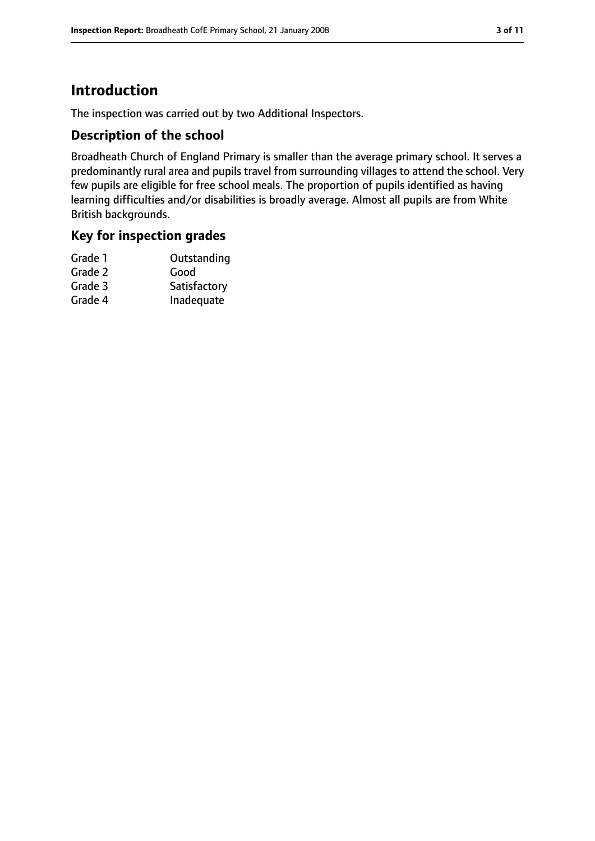# **Introduction**

The inspection was carried out by two Additional Inspectors.

## **Description of the school**

Broadheath Church of England Primary is smaller than the average primary school. It serves a predominantly rural area and pupils travel from surrounding villages to attend the school. Very few pupils are eligible for free school meals. The proportion of pupils identified as having learning difficulties and/or disabilities is broadly average. Almost all pupils are from White British backgrounds.

## **Key for inspection grades**

| Outstanding  |
|--------------|
| Good         |
| Satisfactory |
| Inadequate   |
|              |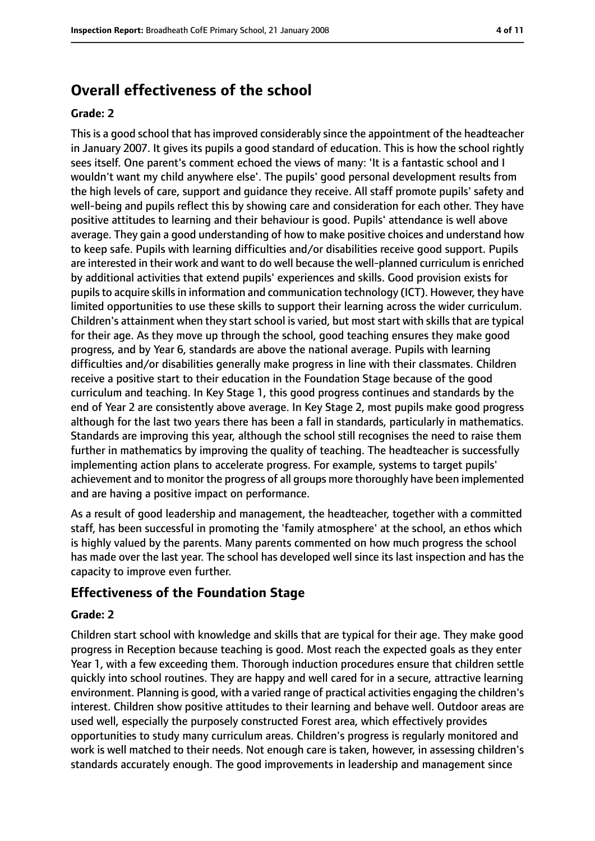# **Overall effectiveness of the school**

#### **Grade: 2**

This is a good school that has improved considerably since the appointment of the headteacher in January 2007. It gives its pupils a good standard of education. This is how the school rightly sees itself. One parent's comment echoed the views of many: 'It is a fantastic school and I wouldn't want my child anywhere else'. The pupils' good personal development results from the high levels of care, support and guidance they receive. All staff promote pupils' safety and well-being and pupils reflect this by showing care and consideration for each other. They have positive attitudes to learning and their behaviour is good. Pupils' attendance is well above average. They gain a good understanding of how to make positive choices and understand how to keep safe. Pupils with learning difficulties and/or disabilities receive good support. Pupils are interested in their work and want to do well because the well-planned curriculum is enriched by additional activities that extend pupils' experiences and skills. Good provision exists for pupils to acquire skills in information and communication technology (ICT). However, they have limited opportunities to use these skills to support their learning across the wider curriculum. Children's attainment when they start school is varied, but most start with skills that are typical for their age. As they move up through the school, good teaching ensures they make good progress, and by Year 6, standards are above the national average. Pupils with learning difficulties and/or disabilities generally make progress in line with their classmates. Children receive a positive start to their education in the Foundation Stage because of the good curriculum and teaching. In Key Stage 1, this good progress continues and standards by the end of Year 2 are consistently above average. In Key Stage 2, most pupils make good progress although for the last two years there has been a fall in standards, particularly in mathematics. Standards are improving this year, although the school still recognises the need to raise them further in mathematics by improving the quality of teaching. The headteacher is successfully implementing action plans to accelerate progress. For example, systems to target pupils' achievement and to monitor the progress of all groups more thoroughly have been implemented and are having a positive impact on performance.

As a result of good leadership and management, the headteacher, together with a committed staff, has been successful in promoting the 'family atmosphere' at the school, an ethos which is highly valued by the parents. Many parents commented on how much progress the school has made over the last year. The school has developed well since its last inspection and has the capacity to improve even further.

## **Effectiveness of the Foundation Stage**

#### **Grade: 2**

Children start school with knowledge and skills that are typical for their age. They make good progress in Reception because teaching is good. Most reach the expected goals as they enter Year 1, with a few exceeding them. Thorough induction procedures ensure that children settle quickly into school routines. They are happy and well cared for in a secure, attractive learning environment. Planning is good, with a varied range of practical activities engaging the children's interest. Children show positive attitudes to their learning and behave well. Outdoor areas are used well, especially the purposely constructed Forest area, which effectively provides opportunities to study many curriculum areas. Children's progress is regularly monitored and work is well matched to their needs. Not enough care is taken, however, in assessing children's standards accurately enough. The good improvements in leadership and management since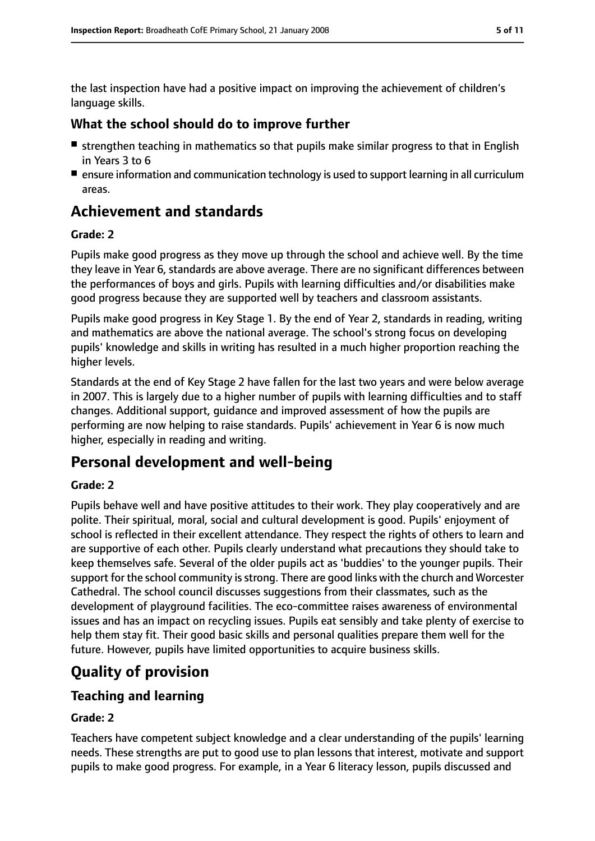the last inspection have had a positive impact on improving the achievement of children's language skills.

## **What the school should do to improve further**

- strengthen teaching in mathematics so that pupils make similar progress to that in English in Years 3 to 6
- ensure information and communication technology is used to support learning in all curriculum areas.

# **Achievement and standards**

#### **Grade: 2**

Pupils make good progress as they move up through the school and achieve well. By the time they leave in Year 6, standards are above average. There are no significant differences between the performances of boys and girls. Pupils with learning difficulties and/or disabilities make good progress because they are supported well by teachers and classroom assistants.

Pupils make good progress in Key Stage 1. By the end of Year 2, standards in reading, writing and mathematics are above the national average. The school's strong focus on developing pupils' knowledge and skills in writing has resulted in a much higher proportion reaching the higher levels.

Standards at the end of Key Stage 2 have fallen for the last two years and were below average in 2007. This is largely due to a higher number of pupils with learning difficulties and to staff changes. Additional support, guidance and improved assessment of how the pupils are performing are now helping to raise standards. Pupils' achievement in Year 6 is now much higher, especially in reading and writing.

# **Personal development and well-being**

#### **Grade: 2**

Pupils behave well and have positive attitudes to their work. They play cooperatively and are polite. Their spiritual, moral, social and cultural development is good. Pupils' enjoyment of school is reflected in their excellent attendance. They respect the rights of others to learn and are supportive of each other. Pupils clearly understand what precautions they should take to keep themselves safe. Several of the older pupils act as 'buddies' to the younger pupils. Their support for the school community is strong. There are good links with the church and Worcester Cathedral. The school council discusses suggestions from their classmates, such as the development of playground facilities. The eco-committee raises awareness of environmental issues and has an impact on recycling issues. Pupils eat sensibly and take plenty of exercise to help them stay fit. Their good basic skills and personal qualities prepare them well for the future. However, pupils have limited opportunities to acquire business skills.

# **Quality of provision**

# **Teaching and learning**

#### **Grade: 2**

Teachers have competent subject knowledge and a clear understanding of the pupils' learning needs. These strengths are put to good use to plan lessons that interest, motivate and support pupils to make good progress. For example, in a Year 6 literacy lesson, pupils discussed and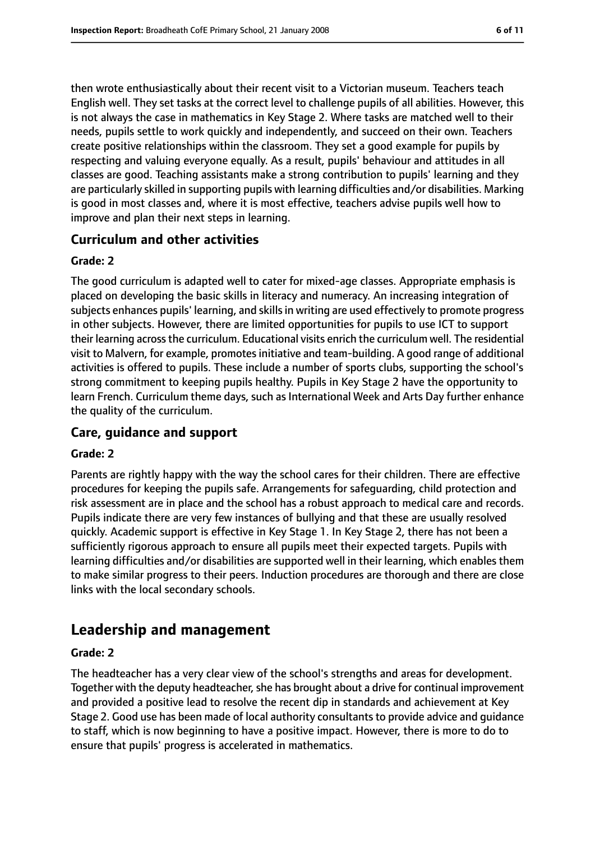then wrote enthusiastically about their recent visit to a Victorian museum. Teachers teach English well. They set tasks at the correct level to challenge pupils of all abilities. However, this is not always the case in mathematics in Key Stage 2. Where tasks are matched well to their needs, pupils settle to work quickly and independently, and succeed on their own. Teachers create positive relationships within the classroom. They set a good example for pupils by respecting and valuing everyone equally. As a result, pupils' behaviour and attitudes in all classes are good. Teaching assistants make a strong contribution to pupils' learning and they are particularly skilled in supporting pupils with learning difficulties and/or disabilities. Marking is good in most classes and, where it is most effective, teachers advise pupils well how to improve and plan their next steps in learning.

## **Curriculum and other activities**

#### **Grade: 2**

The good curriculum is adapted well to cater for mixed-age classes. Appropriate emphasis is placed on developing the basic skills in literacy and numeracy. An increasing integration of subjects enhances pupils' learning, and skills in writing are used effectively to promote progress in other subjects. However, there are limited opportunities for pupils to use ICT to support their learning acrossthe curriculum. Educational visits enrich the curriculum well. The residential visit to Malvern, for example, promotes initiative and team-building. A good range of additional activities is offered to pupils. These include a number of sports clubs, supporting the school's strong commitment to keeping pupils healthy. Pupils in Key Stage 2 have the opportunity to learn French. Curriculum theme days, such as International Week and Arts Day further enhance the quality of the curriculum.

# **Care, guidance and support**

#### **Grade: 2**

Parents are rightly happy with the way the school cares for their children. There are effective procedures for keeping the pupils safe. Arrangements for safeguarding, child protection and risk assessment are in place and the school has a robust approach to medical care and records. Pupils indicate there are very few instances of bullying and that these are usually resolved quickly. Academic support is effective in Key Stage 1. In Key Stage 2, there has not been a sufficiently rigorous approach to ensure all pupils meet their expected targets. Pupils with learning difficulties and/or disabilities are supported well in their learning, which enables them to make similar progress to their peers. Induction procedures are thorough and there are close links with the local secondary schools.

# **Leadership and management**

#### **Grade: 2**

The headteacher has a very clear view of the school's strengths and areas for development. Together with the deputy headteacher, she has brought about a drive for continual improvement and provided a positive lead to resolve the recent dip in standards and achievement at Key Stage 2. Good use has been made of local authority consultants to provide advice and guidance to staff, which is now beginning to have a positive impact. However, there is more to do to ensure that pupils' progress is accelerated in mathematics.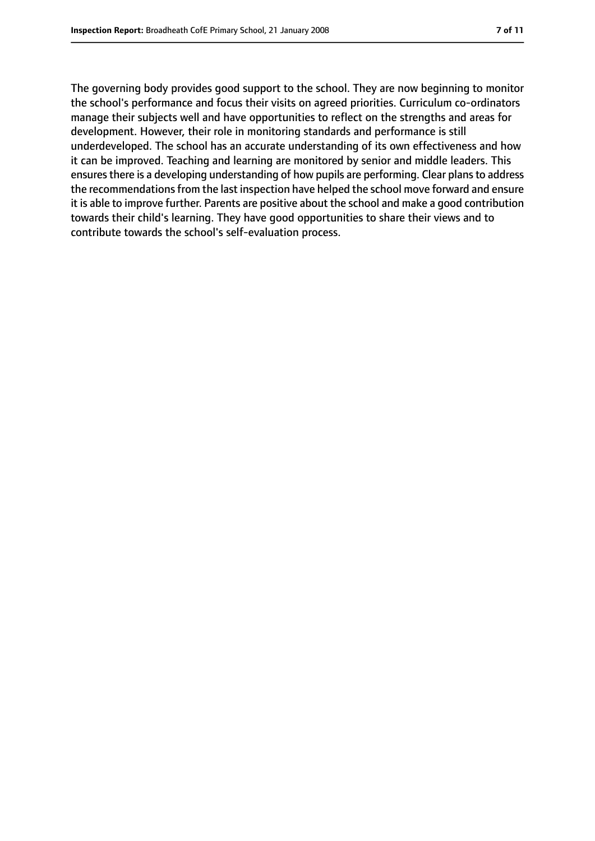The governing body provides good support to the school. They are now beginning to monitor the school's performance and focus their visits on agreed priorities. Curriculum co-ordinators manage their subjects well and have opportunities to reflect on the strengths and areas for development. However, their role in monitoring standards and performance is still underdeveloped. The school has an accurate understanding of its own effectiveness and how it can be improved. Teaching and learning are monitored by senior and middle leaders. This ensures there is a developing understanding of how pupils are performing. Clear plans to address the recommendations from the last inspection have helped the school move forward and ensure it is able to improve further. Parents are positive about the school and make a good contribution towards their child's learning. They have good opportunities to share their views and to contribute towards the school's self-evaluation process.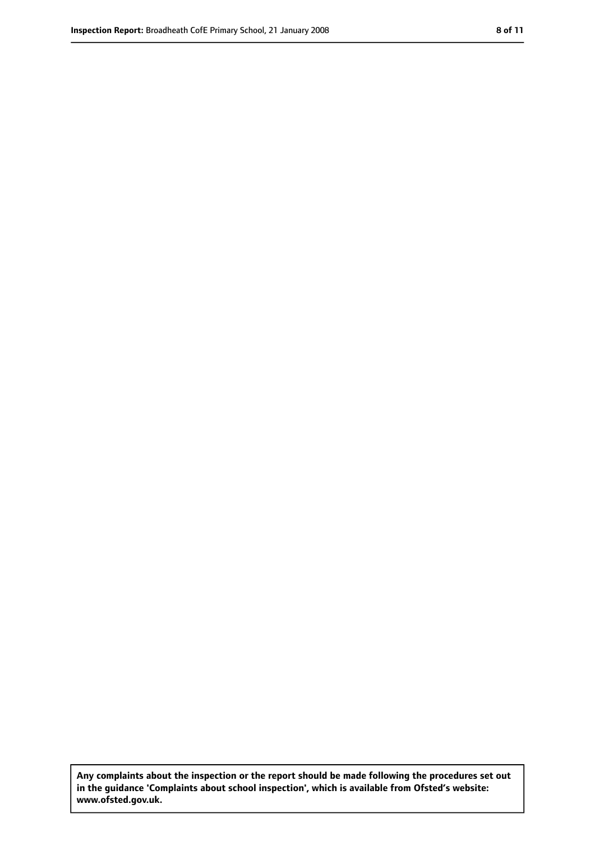**Any complaints about the inspection or the report should be made following the procedures set out in the guidance 'Complaints about school inspection', which is available from Ofsted's website: www.ofsted.gov.uk.**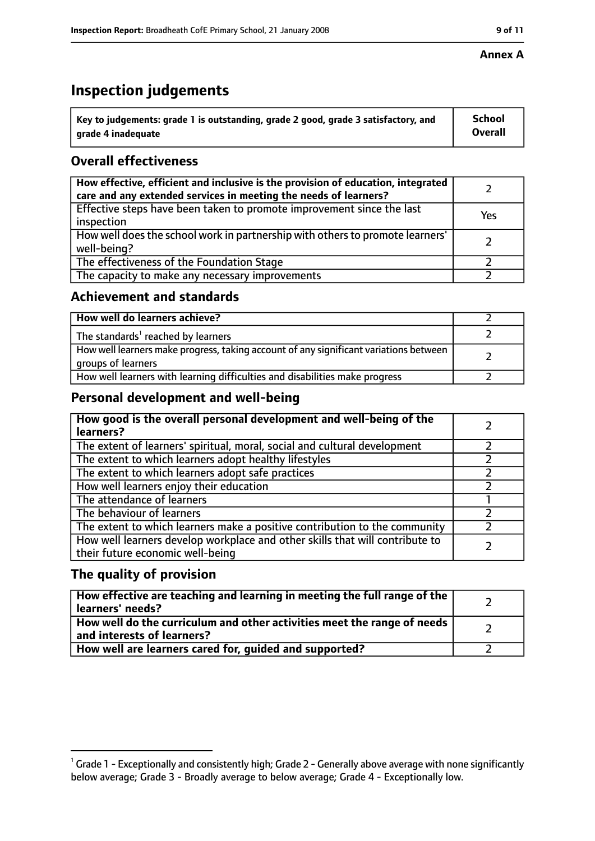# **Inspection judgements**

| $^{\backprime}$ Key to judgements: grade 1 is outstanding, grade 2 good, grade 3 satisfactory, and | <b>School</b>  |
|----------------------------------------------------------------------------------------------------|----------------|
| arade 4 inadequate                                                                                 | <b>Overall</b> |

# **Overall effectiveness**

| How effective, efficient and inclusive is the provision of education, integrated<br>care and any extended services in meeting the needs of learners? |     |
|------------------------------------------------------------------------------------------------------------------------------------------------------|-----|
| Effective steps have been taken to promote improvement since the last<br>inspection                                                                  | Yes |
| How well does the school work in partnership with others to promote learners'<br>well-being?                                                         |     |
| The effectiveness of the Foundation Stage                                                                                                            |     |
| The capacity to make any necessary improvements                                                                                                      |     |

## **Achievement and standards**

| How well do learners achieve?                                                                               |  |
|-------------------------------------------------------------------------------------------------------------|--|
| The standards <sup>1</sup> reached by learners                                                              |  |
| How well learners make progress, taking account of any significant variations between<br>groups of learners |  |
| How well learners with learning difficulties and disabilities make progress                                 |  |

# **Personal development and well-being**

| How good is the overall personal development and well-being of the<br>learners?                                  |  |
|------------------------------------------------------------------------------------------------------------------|--|
| The extent of learners' spiritual, moral, social and cultural development                                        |  |
| The extent to which learners adopt healthy lifestyles                                                            |  |
| The extent to which learners adopt safe practices                                                                |  |
| How well learners enjoy their education                                                                          |  |
| The attendance of learners                                                                                       |  |
| The behaviour of learners                                                                                        |  |
| The extent to which learners make a positive contribution to the community                                       |  |
| How well learners develop workplace and other skills that will contribute to<br>their future economic well-being |  |

# **The quality of provision**

| How effective are teaching and learning in meeting the full range of the<br>learners' needs?          |  |
|-------------------------------------------------------------------------------------------------------|--|
| How well do the curriculum and other activities meet the range of needs<br>and interests of learners? |  |
| How well are learners cared for, guided and supported?                                                |  |

 $^1$  Grade 1 - Exceptionally and consistently high; Grade 2 - Generally above average with none significantly below average; Grade 3 - Broadly average to below average; Grade 4 - Exceptionally low.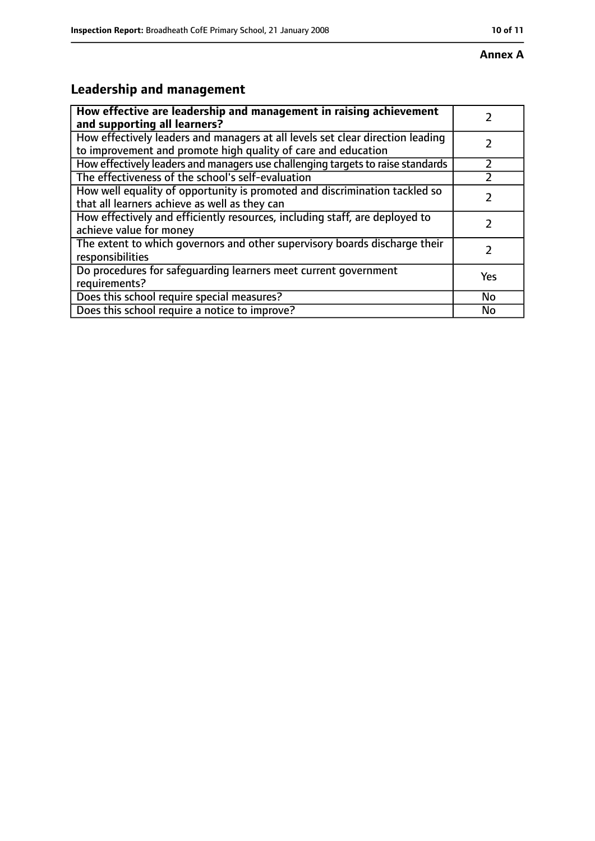# **Leadership and management**

| How effective are leadership and management in raising achievement<br>and supporting all learners?                                              |           |
|-------------------------------------------------------------------------------------------------------------------------------------------------|-----------|
| How effectively leaders and managers at all levels set clear direction leading<br>to improvement and promote high quality of care and education |           |
| How effectively leaders and managers use challenging targets to raise standards                                                                 |           |
| The effectiveness of the school's self-evaluation                                                                                               |           |
| How well equality of opportunity is promoted and discrimination tackled so<br>that all learners achieve as well as they can                     |           |
| How effectively and efficiently resources, including staff, are deployed to<br>achieve value for money                                          |           |
| The extent to which governors and other supervisory boards discharge their<br>responsibilities                                                  |           |
| Do procedures for safequarding learners meet current government<br>requirements?                                                                | Yes       |
| Does this school require special measures?                                                                                                      | <b>No</b> |
| Does this school require a notice to improve?                                                                                                   | No        |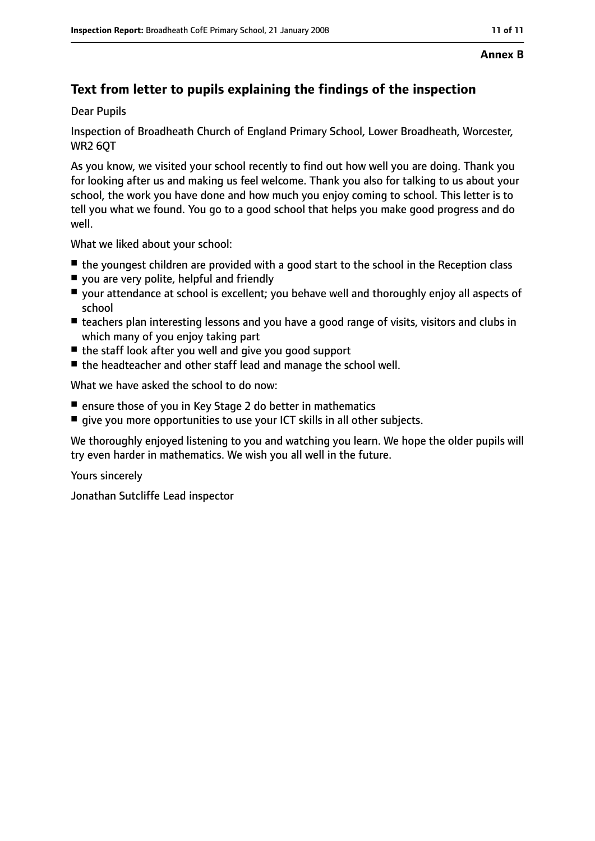# **Text from letter to pupils explaining the findings of the inspection**

Dear Pupils

Inspection of Broadheath Church of England Primary School, Lower Broadheath, Worcester, WR2 6QT

As you know, we visited your school recently to find out how well you are doing. Thank you for looking after us and making us feel welcome. Thank you also for talking to us about your school, the work you have done and how much you enjoy coming to school. This letter is to tell you what we found. You go to a good school that helps you make good progress and do well.

What we liked about your school:

- the youngest children are provided with a good start to the school in the Reception class
- you are very polite, helpful and friendly
- your attendance at school is excellent; you behave well and thoroughly enjoy all aspects of school
- teachers plan interesting lessons and you have a good range of visits, visitors and clubs in which many of you enjoy taking part
- the staff look after you well and give you good support
- the headteacher and other staff lead and manage the school well.

What we have asked the school to do now:

- ensure those of you in Key Stage 2 do better in mathematics
- give you more opportunities to use your ICT skills in all other subjects.

We thoroughly enjoyed listening to you and watching you learn. We hope the older pupils will try even harder in mathematics. We wish you all well in the future.

Yours sincerely

Jonathan Sutcliffe Lead inspector